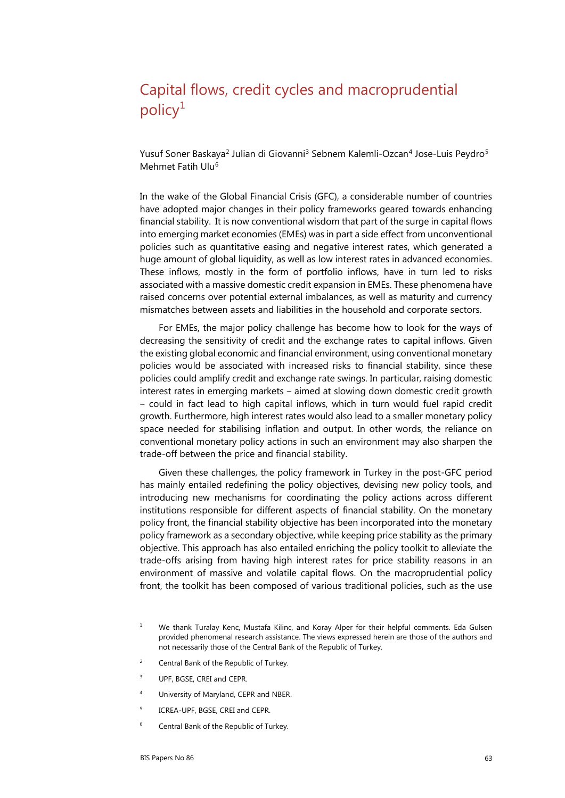## Capital flows, credit cycles and macroprudential  $policy<sup>1</sup>$  $policy<sup>1</sup>$  $policy<sup>1</sup>$

Yusuf Soner Baskaya<sup>[2](#page-0-1)</sup> Julian di Giovanni<sup>[3](#page-0-2)</sup> Sebnem Kalemli-Ozcan<sup>[4](#page-0-3)</sup> Jose-Luis Peydro<sup>[5](#page-0-4)</sup> Mehmet Fatih Ulu<sup>[6](#page-0-5)</sup>

In the wake of the Global Financial Crisis (GFC), a considerable number of countries have adopted major changes in their policy frameworks geared towards enhancing financial stability. It is now conventional wisdom that part of the surge in capital flows into emerging market economies (EMEs) was in part a side effect from unconventional policies such as quantitative easing and negative interest rates, which generated a huge amount of global liquidity, as well as low interest rates in advanced economies. These inflows, mostly in the form of portfolio inflows, have in turn led to risks associated with a massive domestic credit expansion in EMEs. These phenomena have raised concerns over potential external imbalances, as well as maturity and currency mismatches between assets and liabilities in the household and corporate sectors.

For EMEs, the major policy challenge has become how to look for the ways of decreasing the sensitivity of credit and the exchange rates to capital inflows. Given the existing global economic and financial environment, using conventional monetary policies would be associated with increased risks to financial stability, since these policies could amplify credit and exchange rate swings. In particular, raising domestic interest rates in emerging markets – aimed at slowing down domestic credit growth ‒ could in fact lead to high capital inflows, which in turn would fuel rapid credit growth. Furthermore, high interest rates would also lead to a smaller monetary policy space needed for stabilising inflation and output. In other words, the reliance on conventional monetary policy actions in such an environment may also sharpen the trade-off between the price and financial stability.

Given these challenges, the policy framework in Turkey in the post-GFC period has mainly entailed redefining the policy objectives, devising new policy tools, and introducing new mechanisms for coordinating the policy actions across different institutions responsible for different aspects of financial stability. On the monetary policy front, the financial stability objective has been incorporated into the monetary policy framework as a secondary objective, while keeping price stability as the primary objective. This approach has also entailed enriching the policy toolkit to alleviate the trade-offs arising from having high interest rates for price stability reasons in an environment of massive and volatile capital flows. On the macroprudential policy front, the toolkit has been composed of various traditional policies, such as the use

- <span id="page-0-1"></span><sup>2</sup> Central Bank of the Republic of Turkey.
- <span id="page-0-2"></span><sup>3</sup> UPF, BGSE, CREI and CEPR.
- <span id="page-0-3"></span><sup>4</sup> University of Maryland, CEPR and NBER.
- <span id="page-0-4"></span><sup>5</sup> ICREA-UPF, BGSE, CREI and CEPR.
- <span id="page-0-5"></span><sup>6</sup> Central Bank of the Republic of Turkey.

<span id="page-0-0"></span><sup>&</sup>lt;sup>1</sup> We thank Turalay Kenc, Mustafa Kilinc, and Koray Alper for their helpful comments. Eda Gulsen provided phenomenal research assistance. The views expressed herein are those of the authors and not necessarily those of the Central Bank of the Republic of Turkey.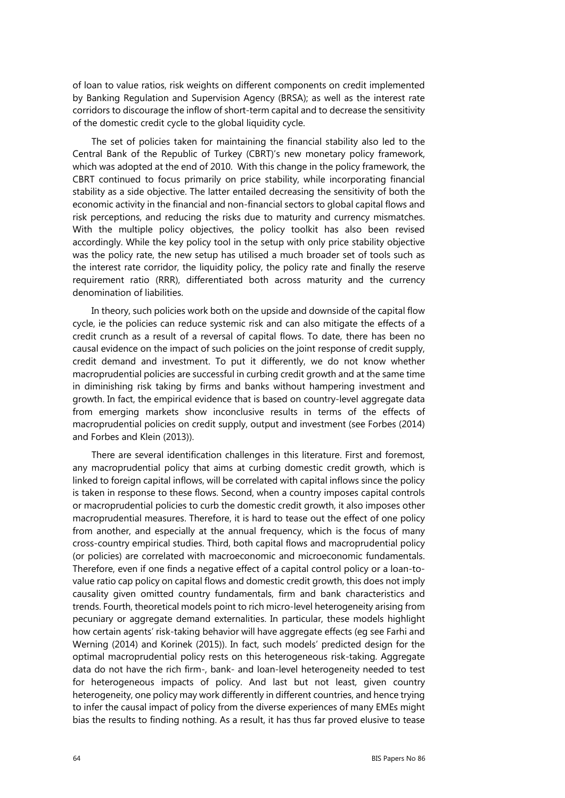of loan to value ratios, risk weights on different components on credit implemented by Banking Regulation and Supervision Agency (BRSA); as well as the interest rate corridors to discourage the inflow of short-term capital and to decrease the sensitivity of the domestic credit cycle to the global liquidity cycle.

The set of policies taken for maintaining the financial stability also led to the Central Bank of the Republic of Turkey (CBRT)'s new monetary policy framework, which was adopted at the end of 2010. With this change in the policy framework, the CBRT continued to focus primarily on price stability, while incorporating financial stability as a side objective. The latter entailed decreasing the sensitivity of both the economic activity in the financial and non-financial sectors to global capital flows and risk perceptions, and reducing the risks due to maturity and currency mismatches. With the multiple policy objectives, the policy toolkit has also been revised accordingly. While the key policy tool in the setup with only price stability objective was the policy rate, the new setup has utilised a much broader set of tools such as the interest rate corridor, the liquidity policy, the policy rate and finally the reserve requirement ratio (RRR), differentiated both across maturity and the currency denomination of liabilities.

In theory, such policies work both on the upside and downside of the capital flow cycle, ie the policies can reduce systemic risk and can also mitigate the effects of a credit crunch as a result of a reversal of capital flows. To date, there has been no causal evidence on the impact of such policies on the joint response of credit supply, credit demand and investment. To put it differently, we do not know whether macroprudential policies are successful in curbing credit growth and at the same time in diminishing risk taking by firms and banks without hampering investment and growth. In fact, the empirical evidence that is based on country-level aggregate data from emerging markets show inconclusive results in terms of the effects of macroprudential policies on credit supply, output and investment (see Forbes (2014) and Forbes and Klein (2013)).

There are several identification challenges in this literature. First and foremost, any macroprudential policy that aims at curbing domestic credit growth, which is linked to foreign capital inflows, will be correlated with capital inflows since the policy is taken in response to these flows. Second, when a country imposes capital controls or macroprudential policies to curb the domestic credit growth, it also imposes other macroprudential measures. Therefore, it is hard to tease out the effect of one policy from another, and especially at the annual frequency, which is the focus of many cross-country empirical studies. Third, both capital flows and macroprudential policy (or policies) are correlated with macroeconomic and microeconomic fundamentals. Therefore, even if one finds a negative effect of a capital control policy or a loan-tovalue ratio cap policy on capital flows and domestic credit growth, this does not imply causality given omitted country fundamentals, firm and bank characteristics and trends. Fourth, theoretical models point to rich micro-level heterogeneity arising from pecuniary or aggregate demand externalities. In particular, these models highlight how certain agents' risk-taking behavior will have aggregate effects (eg see Farhi and Werning (2014) and Korinek (2015)). In fact, such models' predicted design for the optimal macroprudential policy rests on this heterogeneous risk-taking. Aggregate data do not have the rich firm-, bank- and loan-level heterogeneity needed to test for heterogeneous impacts of policy. And last but not least, given country heterogeneity, one policy may work differently in different countries, and hence trying to infer the causal impact of policy from the diverse experiences of many EMEs might bias the results to finding nothing. As a result, it has thus far proved elusive to tease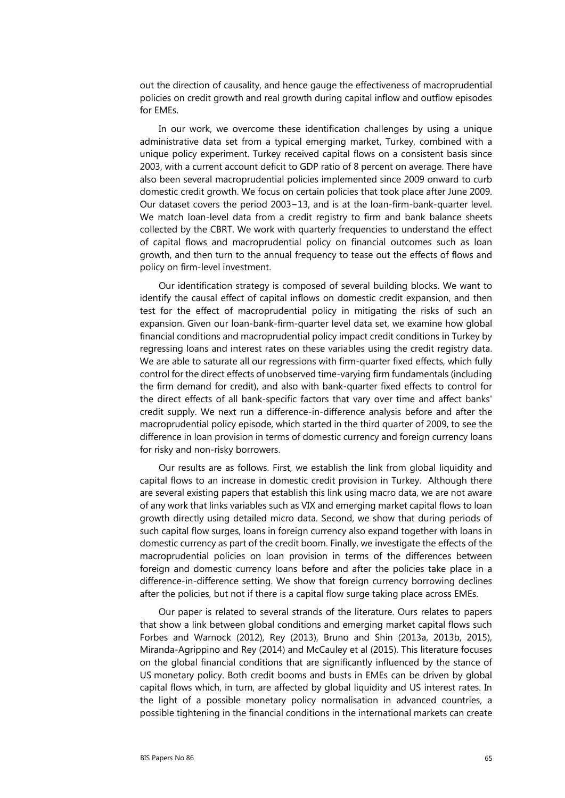out the direction of causality, and hence gauge the effectiveness of macroprudential policies on credit growth and real growth during capital inflow and outflow episodes for EMEs.

In our work, we overcome these identification challenges by using a unique administrative data set from a typical emerging market, Turkey, combined with a unique policy experiment. Turkey received capital flows on a consistent basis since 2003, with a current account deficit to GDP ratio of 8 percent on average. There have also been several macroprudential policies implemented since 2009 onward to curb domestic credit growth. We focus on certain policies that took place after June 2009. Our dataset covers the period 2003−13, and is at the loan-firm-bank-quarter level. We match loan-level data from a credit registry to firm and bank balance sheets collected by the CBRT. We work with quarterly frequencies to understand the effect of capital flows and macroprudential policy on financial outcomes such as loan growth, and then turn to the annual frequency to tease out the effects of flows and policy on firm-level investment.

Our identification strategy is composed of several building blocks. We want to identify the causal effect of capital inflows on domestic credit expansion, and then test for the effect of macroprudential policy in mitigating the risks of such an expansion. Given our loan-bank-firm-quarter level data set, we examine how global financial conditions and macroprudential policy impact credit conditions in Turkey by regressing loans and interest rates on these variables using the credit registry data. We are able to saturate all our regressions with firm-quarter fixed effects, which fully control for the direct effects of unobserved time-varying firm fundamentals (including the firm demand for credit), and also with bank-quarter fixed effects to control for the direct effects of all bank-specific factors that vary over time and affect banks' credit supply. We next run a difference-in-difference analysis before and after the macroprudential policy episode, which started in the third quarter of 2009, to see the difference in loan provision in terms of domestic currency and foreign currency loans for risky and non-risky borrowers.

Our results are as follows. First, we establish the link from global liquidity and capital flows to an increase in domestic credit provision in Turkey. Although there are several existing papers that establish this link using macro data, we are not aware of any work that links variables such as VIX and emerging market capital flows to loan growth directly using detailed micro data. Second, we show that during periods of such capital flow surges, loans in foreign currency also expand together with loans in domestic currency as part of the credit boom. Finally, we investigate the effects of the macroprudential policies on loan provision in terms of the differences between foreign and domestic currency loans before and after the policies take place in a difference-in-difference setting. We show that foreign currency borrowing declines after the policies, but not if there is a capital flow surge taking place across EMEs.

Our paper is related to several strands of the literature. Ours relates to papers that show a link between global conditions and emerging market capital flows such Forbes and Warnock (2012), Rey (2013), Bruno and Shin (2013a, 2013b, 2015), Miranda-Agrippino and Rey (2014) and McCauley et al (2015). This literature focuses on the global financial conditions that are significantly influenced by the stance of US monetary policy. Both credit booms and busts in EMEs can be driven by global capital flows which, in turn, are affected by global liquidity and US interest rates. In the light of a possible monetary policy normalisation in advanced countries, a possible tightening in the financial conditions in the international markets can create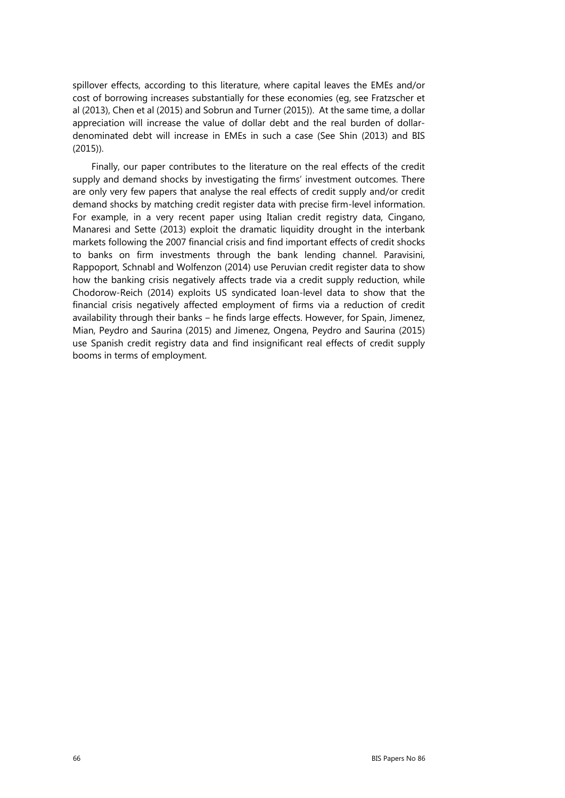spillover effects, according to this literature, where capital leaves the EMEs and/or cost of borrowing increases substantially for these economies (eg, see Fratzscher et al (2013), Chen et al (2015) and Sobrun and Turner (2015)). At the same time, a dollar appreciation will increase the value of dollar debt and the real burden of dollardenominated debt will increase in EMEs in such a case (See Shin (2013) and BIS (2015)).

Finally, our paper contributes to the literature on the real effects of the credit supply and demand shocks by investigating the firms' investment outcomes. There are only very few papers that analyse the real effects of credit supply and/or credit demand shocks by matching credit register data with precise firm-level information. For example, in a very recent paper using Italian credit registry data, Cingano, Manaresi and Sette (2013) exploit the dramatic liquidity drought in the interbank markets following the 2007 financial crisis and find important effects of credit shocks to banks on firm investments through the bank lending channel. Paravisini, Rappoport, Schnabl and Wolfenzon (2014) use Peruvian credit register data to show how the banking crisis negatively affects trade via a credit supply reduction, while Chodorow-Reich (2014) exploits US syndicated loan-level data to show that the financial crisis negatively affected employment of firms via a reduction of credit availability through their banks – he finds large effects. However, for Spain, Jimenez, Mian, Peydro and Saurina (2015) and Jimenez, Ongena, Peydro and Saurina (2015) use Spanish credit registry data and find insignificant real effects of credit supply booms in terms of employment.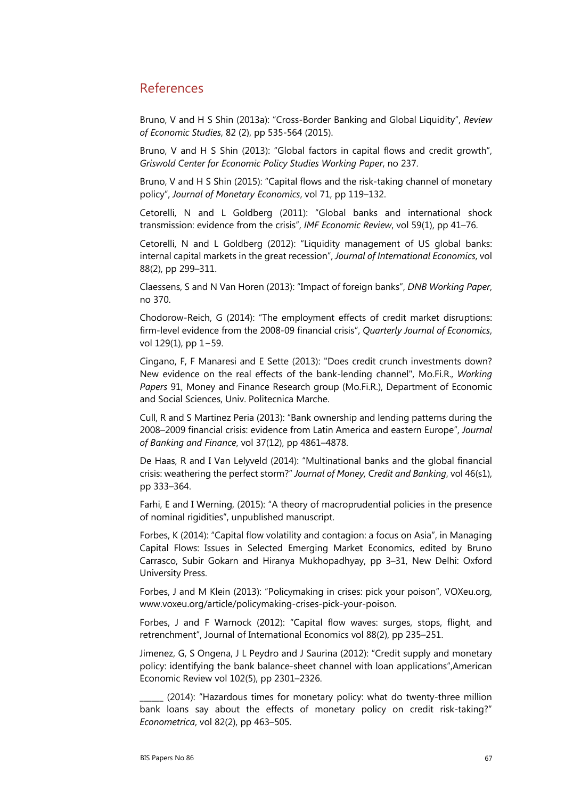## References

Bruno, V and H S Shin (2013a): "Cross-Border Banking and Global Liquidity", *Review of Economic Studies*, 82 (2), pp 535-564 (2015).

Bruno, V and H S Shin (2013): "Global factors in capital flows and credit growth", *Griswold Center for Economic Policy Studies Working Paper*, no 237.

Bruno, V and H S Shin (2015): "Capital flows and the risk-taking channel of monetary policy", *Journal of Monetary Economics*, vol 71, pp 119–132.

Cetorelli, N and L Goldberg (2011): "Global banks and international shock transmission: evidence from the crisis", *IMF Economic Review*, vol 59(1), pp 41–76.

Cetorelli, N and L Goldberg (2012): "Liquidity management of US global banks: internal capital markets in the great recession", *Journal of International Economics*, vol 88(2), pp 299–311.

Claessens, S and N Van Horen (2013): "Impact of foreign banks", *DNB Working Paper*, no 370.

Chodorow-Reich, G (2014): "The employment effects of credit market disruptions: firm-level evidence from the 2008-09 financial crisis", *Quarterly Journal of Economics*, vol 129(1), pp 1−59.

Cingano, F, F Manaresi and E Sette (2013): "Does credit crunch investments down? New evidence on the real effects of the bank-lending channel", Mo.Fi.R., *Working Papers* 91, Money and Finance Research group (Mo.Fi.R.), Department of Economic and Social Sciences, Univ. Politecnica Marche.

Cull, R and S Martinez Peria (2013): "Bank ownership and lending patterns during the 2008–2009 financial crisis: evidence from Latin America and eastern Europe", *Journal of Banking and Finance*, vol 37(12), pp 4861–4878.

De Haas, R and I Van Lelyveld (2014): "Multinational banks and the global financial crisis: weathering the perfect storm?" *Journal of Money, Credit and Banking*, vol 46(s1), pp 333–364.

Farhi, E and I Werning, (2015): "A theory of macroprudential policies in the presence of nominal rigidities", unpublished manuscript.

Forbes, K (2014): "Capital flow volatility and contagion: a focus on Asia", in Managing Capital Flows: Issues in Selected Emerging Market Economics, edited by Bruno Carrasco, Subir Gokarn and Hiranya Mukhopadhyay, pp 3–31, New Delhi: Oxford University Press.

Forbes, J and M Klein (2013): "Policymaking in crises: pick your poison", VOXeu.org, [www.voxeu.org/article/policymaking-crises-pick-your-poison.](http://www.voxeu.org/article/policymaking-crises-pick-your-poison)

Forbes, J and F Warnock (2012): "Capital flow waves: surges, stops, flight, and retrenchment", Journal of International Economics vol 88(2), pp 235–251.

Jimenez, G, S Ongena, J L Peydro and J Saurina (2012): "Credit supply and monetary policy: identifying the bank balance-sheet channel with loan applications",American Economic Review vol 102(5), pp 2301–2326.

\_\_\_\_\_\_ (2014): "Hazardous times for monetary policy: what do twenty-three million bank loans say about the effects of monetary policy on credit risk-taking?" *Econometrica*, vol 82(2), pp 463–505.